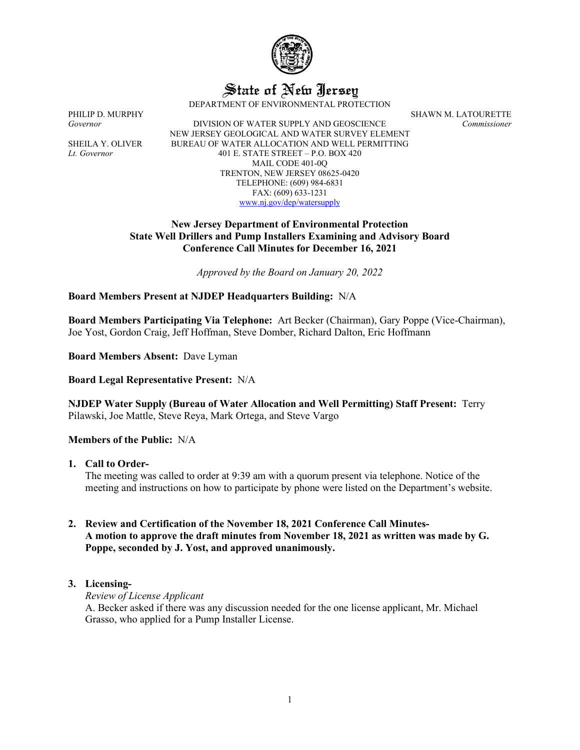

State of New Jersey

DEPARTMENT OF ENVIRONMENTAL PROTECTION

PHILIP D. MURPHY SHAWN M. LATOURETTE

*Governor* DIVISION OF WATER SUPPLY AND GEOSCIENCE *Commissioner* NEW JERSEY GEOLOGICAL AND WATER SURVEY ELEMENT SHEILA Y. OLIVER BUREAU OF WATER ALLOCATION AND WELL PERMITTING *Lt. Governor* 401 E. STATE STREET – P.O. BOX 420 MAIL CODE 401-0Q TRENTON, NEW JERSEY 08625-0420 TELEPHONE: (609) 984-6831 FAX: (609) 633-1231 [www.nj.gov/dep/watersupply](http://www.nj.gov/dep/watersupply)

### **New Jersey Department of Environmental Protection State Well Drillers and Pump Installers Examining and Advisory Board Conference Call Minutes for December 16, 2021**

*Approved by the Board on January 20, 2022*

## **Board Members Present at NJDEP Headquarters Building:** N/A

**Board Members Participating Via Telephone:** Art Becker (Chairman), Gary Poppe (Vice-Chairman), Joe Yost, Gordon Craig, Jeff Hoffman, Steve Domber, Richard Dalton, Eric Hoffmann

**Board Members Absent:** Dave Lyman

**Board Legal Representative Present:** N/A

**NJDEP Water Supply (Bureau of Water Allocation and Well Permitting) Staff Present:** Terry Pilawski, Joe Mattle, Steve Reya, Mark Ortega, and Steve Vargo

## **Members of the Public:** N/A

**1. Call to Order-**

The meeting was called to order at 9:39 am with a quorum present via telephone. Notice of the meeting and instructions on how to participate by phone were listed on the Department's website.

# **2. Review and Certification of the November 18, 2021 Conference Call Minutes-A motion to approve the draft minutes from November 18, 2021 as written was made by G. Poppe, seconded by J. Yost, and approved unanimously.**

## **3. Licensing-**

*Review of License Applicant*

A. Becker asked if there was any discussion needed for the one license applicant, Mr. Michael Grasso, who applied for a Pump Installer License.